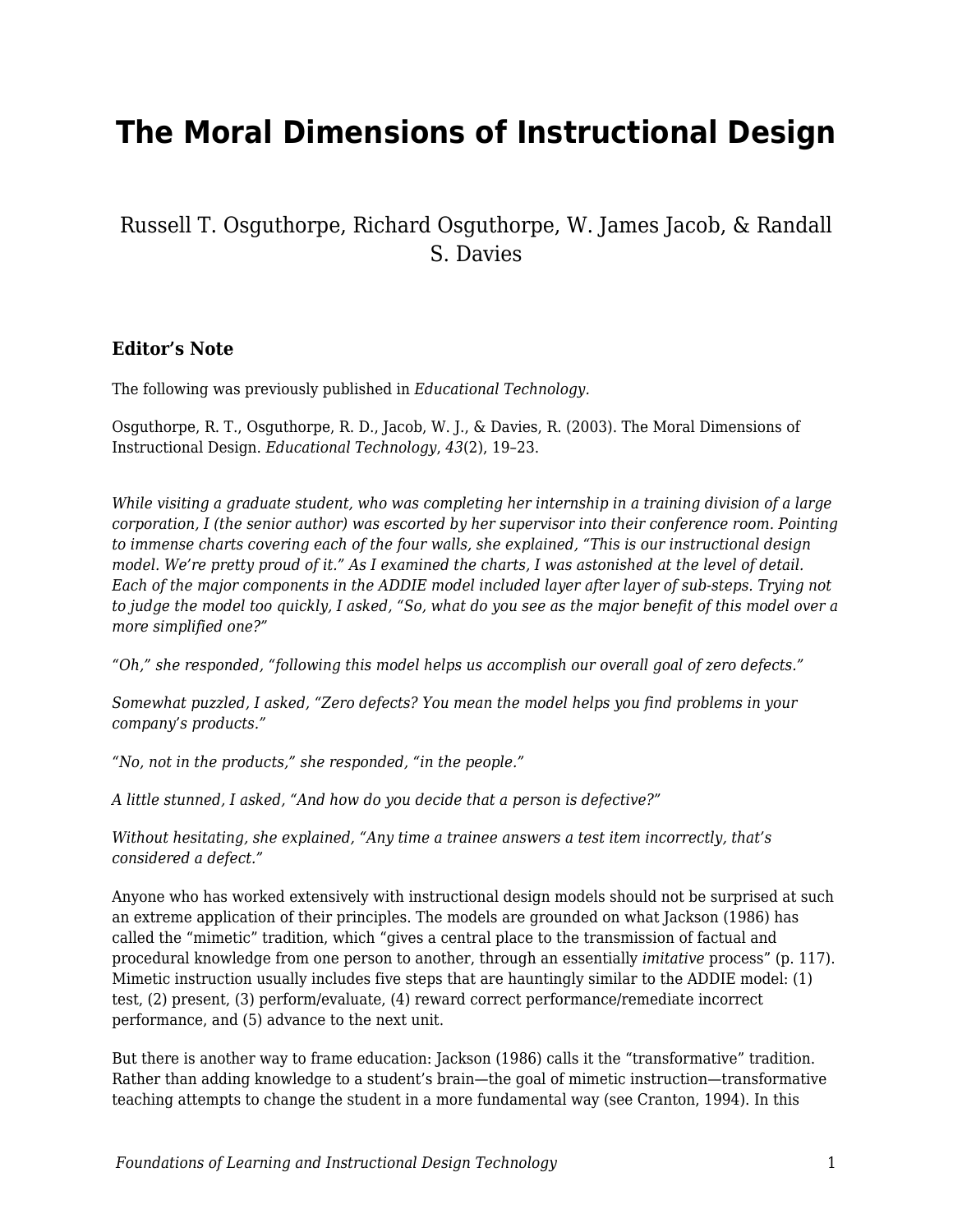# **The Moral Dimensions of Instructional Design**

### Russell T. Osguthorpe, Richard Osguthorpe, W. James Jacob, & Randall S. Davies

#### **Editor's Note**

The following was previously published in *Educational Technology.*

Osguthorpe, R. T., Osguthorpe, R. D., Jacob, W. J., & Davies, R. (2003). The Moral Dimensions of Instructional Design. *Educational Technology*, *43*(2), 19–23.

*While visiting a graduate student, who was completing her internship in a training division of a large corporation, I (the senior author) was escorted by her supervisor into their conference room. Pointing to immense charts covering each of the four walls, she explained, "This is our instructional design model. We're pretty proud of it." As I examined the charts, I was astonished at the level of detail. Each of the major components in the ADDIE model included layer after layer of sub-steps. Trying not to judge the model too quickly, I asked, "So, what do you see as the major benefit of this model over a more simplified one?"*

*"Oh," she responded, "following this model helps us accomplish our overall goal of zero defects."*

*Somewhat puzzled, I asked, "Zero defects? You mean the model helps you find problems in your company's products."*

*"No, not in the products," she responded, "in the people."*

*A little stunned, I asked, "And how do you decide that a person is defective?"*

*Without hesitating, she explained, "Any time a trainee answers a test item incorrectly, that's considered a defect."*

Anyone who has worked extensively with instructional design models should not be surprised at such an extreme application of their principles. The models are grounded on what Jackson (1986) has called the "mimetic" tradition, which "gives a central place to the transmission of factual and procedural knowledge from one person to another, through an essentially *imitative* process" (p. 117). Mimetic instruction usually includes five steps that are hauntingly similar to the ADDIE model: (1) test, (2) present, (3) perform/evaluate, (4) reward correct performance/remediate incorrect performance, and (5) advance to the next unit.

But there is another way to frame education: Jackson (1986) calls it the "transformative" tradition. Rather than adding knowledge to a student's brain—the goal of mimetic instruction—transformative teaching attempts to change the student in a more fundamental way (see Cranton, 1994). In this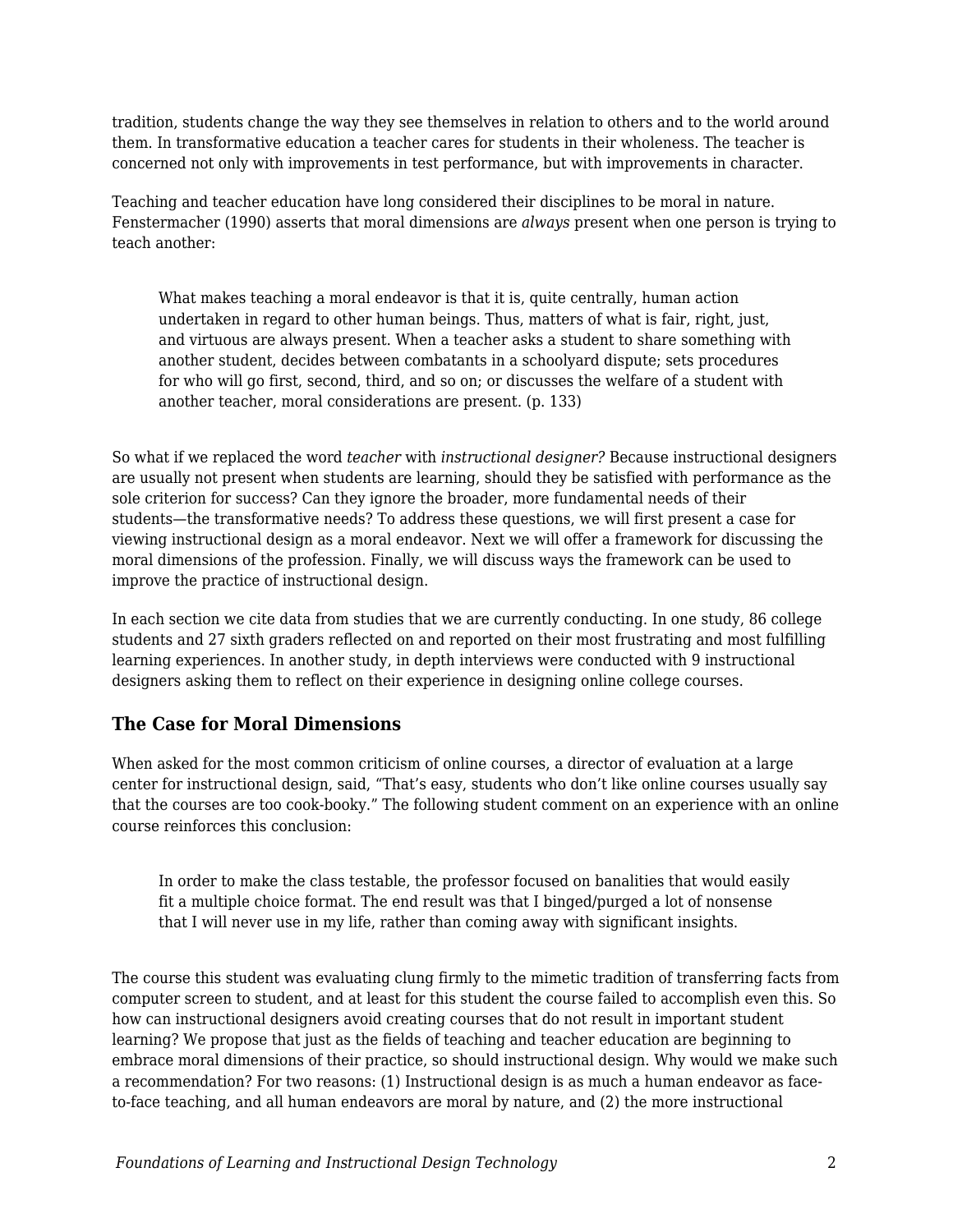tradition, students change the way they see themselves in relation to others and to the world around them. In transformative education a teacher cares for students in their wholeness. The teacher is concerned not only with improvements in test performance, but with improvements in character.

Teaching and teacher education have long considered their disciplines to be moral in nature. Fenstermacher (1990) asserts that moral dimensions are *always* present when one person is trying to teach another:

What makes teaching a moral endeavor is that it is, quite centrally, human action undertaken in regard to other human beings. Thus, matters of what is fair, right, just, and virtuous are always present. When a teacher asks a student to share something with another student, decides between combatants in a schoolyard dispute; sets procedures for who will go first, second, third, and so on; or discusses the welfare of a student with another teacher, moral considerations are present. (p. 133)

So what if we replaced the word *teacher* with *instructional designer?* Because instructional designers are usually not present when students are learning, should they be satisfied with performance as the sole criterion for success? Can they ignore the broader, more fundamental needs of their students—the transformative needs? To address these questions, we will first present a case for viewing instructional design as a moral endeavor. Next we will offer a framework for discussing the moral dimensions of the profession. Finally, we will discuss ways the framework can be used to improve the practice of instructional design.

In each section we cite data from studies that we are currently conducting. In one study, 86 college students and 27 sixth graders reflected on and reported on their most frustrating and most fulfilling learning experiences. In another study, in depth interviews were conducted with 9 instructional designers asking them to reflect on their experience in designing online college courses.

#### **The Case for Moral Dimensions**

When asked for the most common criticism of online courses, a director of evaluation at a large center for instructional design, said, "That's easy, students who don't like online courses usually say that the courses are too cook-booky." The following student comment on an experience with an online course reinforces this conclusion:

In order to make the class testable, the professor focused on banalities that would easily fit a multiple choice format. The end result was that I binged/purged a lot of nonsense that I will never use in my life, rather than coming away with significant insights.

The course this student was evaluating clung firmly to the mimetic tradition of transferring facts from computer screen to student, and at least for this student the course failed to accomplish even this. So how can instructional designers avoid creating courses that do not result in important student learning? We propose that just as the fields of teaching and teacher education are beginning to embrace moral dimensions of their practice, so should instructional design. Why would we make such a recommendation? For two reasons: (1) Instructional design is as much a human endeavor as faceto-face teaching, and all human endeavors are moral by nature, and (2) the more instructional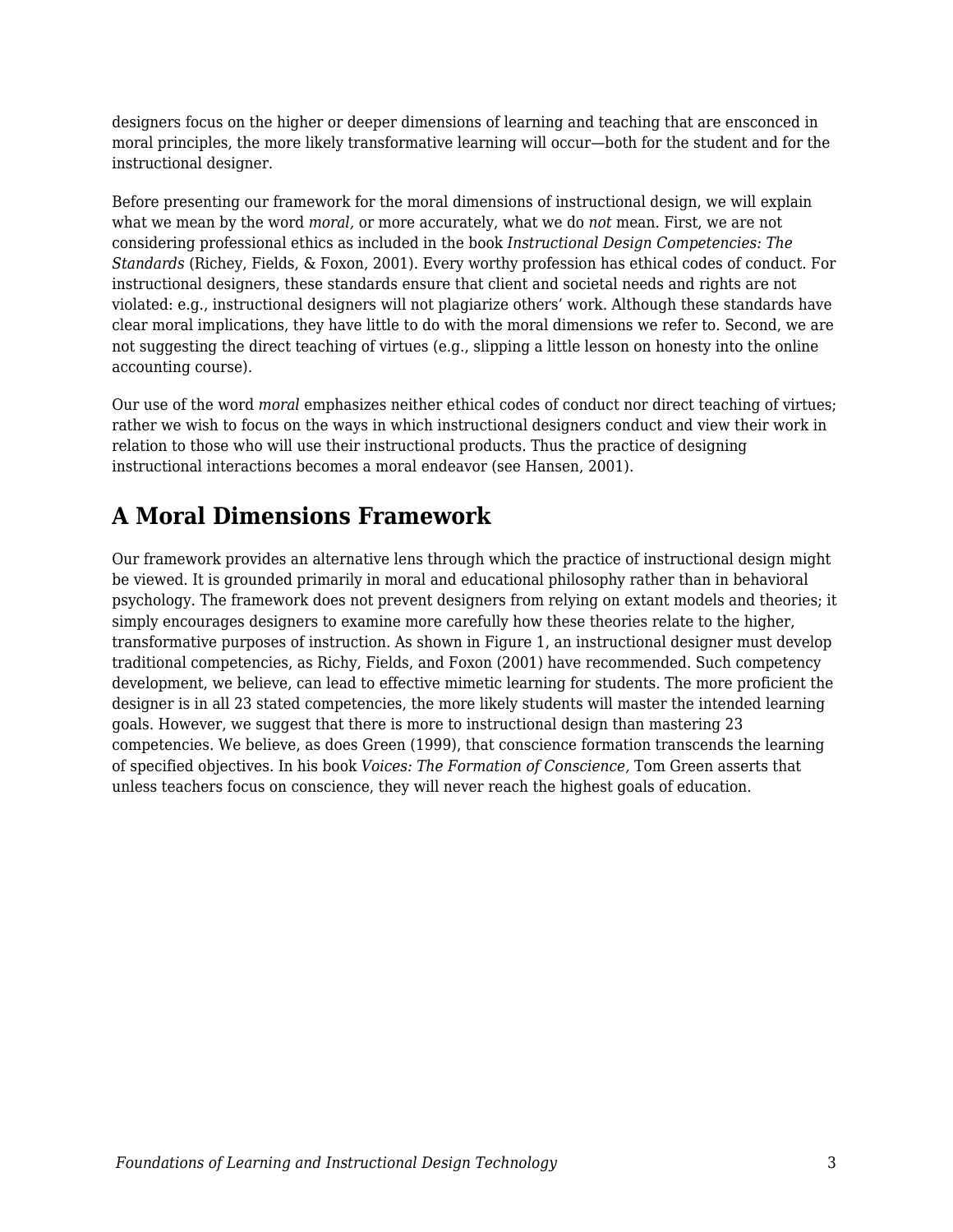designers focus on the higher or deeper dimensions of learning and teaching that are ensconced in moral principles, the more likely transformative learning will occur—both for the student and for the instructional designer.

Before presenting our framework for the moral dimensions of instructional design, we will explain what we mean by the word *moral,* or more accurately, what we do *not* mean. First, we are not considering professional ethics as included in the book *Instructional Design Competencies: The Standards* (Richey, Fields, & Foxon, 2001). Every worthy profession has ethical codes of conduct. For instructional designers, these standards ensure that client and societal needs and rights are not violated: e.g., instructional designers will not plagiarize others' work. Although these standards have clear moral implications, they have little to do with the moral dimensions we refer to. Second, we are not suggesting the direct teaching of virtues (e.g., slipping a little lesson on honesty into the online accounting course).

Our use of the word *moral* emphasizes neither ethical codes of conduct nor direct teaching of virtues; rather we wish to focus on the ways in which instructional designers conduct and view their work in relation to those who will use their instructional products. Thus the practice of designing instructional interactions becomes a moral endeavor (see Hansen, 2001).

# **A Moral Dimensions Framework**

Our framework provides an alternative lens through which the practice of instructional design might be viewed. It is grounded primarily in moral and educational philosophy rather than in behavioral psychology. The framework does not prevent designers from relying on extant models and theories; it simply encourages designers to examine more carefully how these theories relate to the higher, transformative purposes of instruction. As shown in Figure 1, an instructional designer must develop traditional competencies, as Richy, Fields, and Foxon (2001) have recommended. Such competency development, we believe, can lead to effective mimetic learning for students. The more proficient the designer is in all 23 stated competencies, the more likely students will master the intended learning goals. However, we suggest that there is more to instructional design than mastering 23 competencies. We believe, as does Green (1999), that conscience formation transcends the learning of specified objectives. In his book *Voices: The Formation of Conscience,* Tom Green asserts that unless teachers focus on conscience, they will never reach the highest goals of education.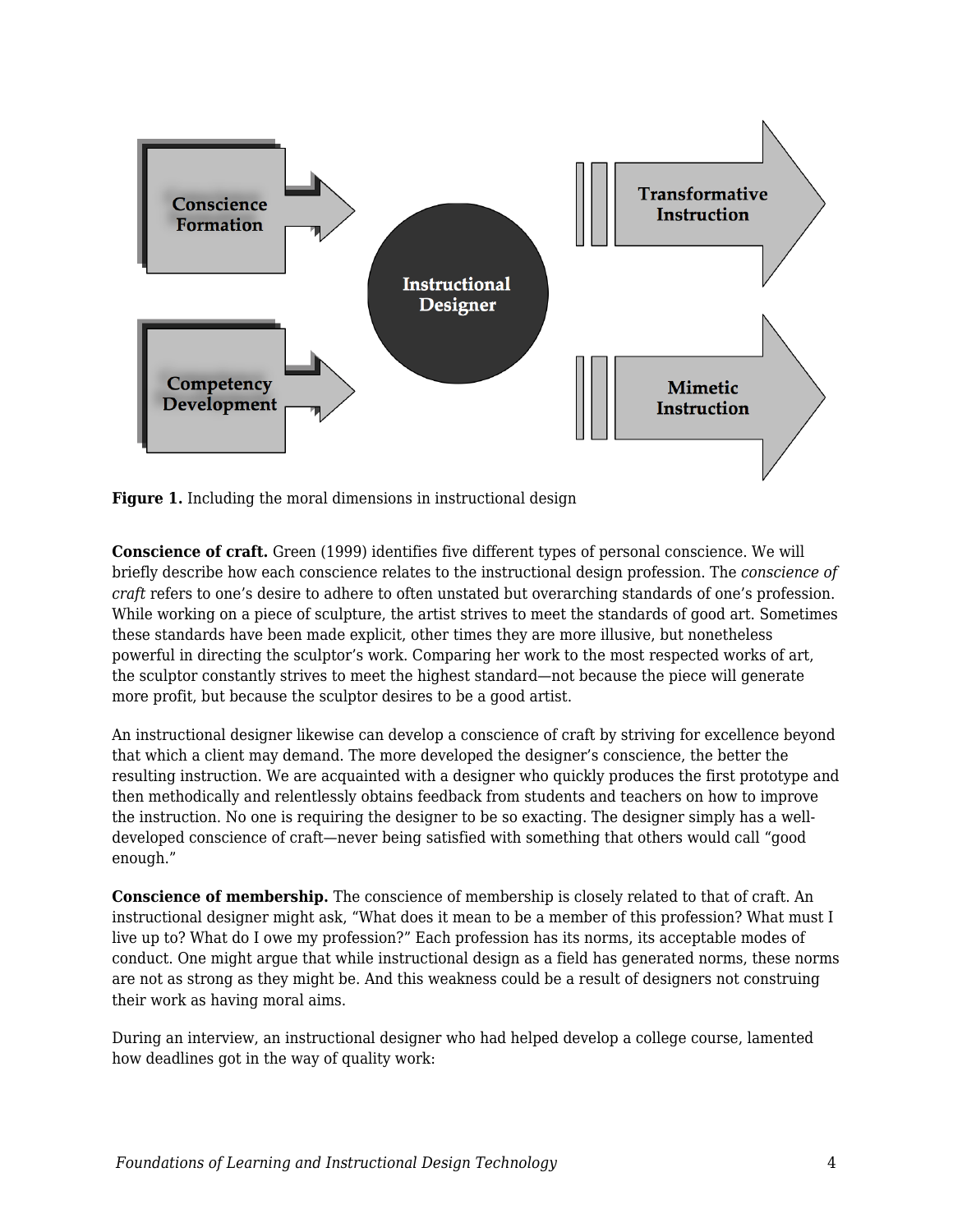

**Figure 1.** Including the moral dimensions in instructional design

**Conscience of craft.** Green (1999) identifies five different types of personal conscience. We will briefly describe how each conscience relates to the instructional design profession. The *conscience of craft* refers to one's desire to adhere to often unstated but overarching standards of one's profession. While working on a piece of sculpture, the artist strives to meet the standards of good art. Sometimes these standards have been made explicit, other times they are more illusive, but nonetheless powerful in directing the sculptor's work. Comparing her work to the most respected works of art, the sculptor constantly strives to meet the highest standard—not because the piece will generate more profit, but because the sculptor desires to be a good artist.

An instructional designer likewise can develop a conscience of craft by striving for excellence beyond that which a client may demand. The more developed the designer's conscience, the better the resulting instruction. We are acquainted with a designer who quickly produces the first prototype and then methodically and relentlessly obtains feedback from students and teachers on how to improve the instruction. No one is requiring the designer to be so exacting. The designer simply has a welldeveloped conscience of craft—never being satisfied with something that others would call "good enough."

**Conscience of membership.** The conscience of membership is closely related to that of craft. An instructional designer might ask, "What does it mean to be a member of this profession? What must I live up to? What do I owe my profession?" Each profession has its norms, its acceptable modes of conduct. One might argue that while instructional design as a field has generated norms, these norms are not as strong as they might be. And this weakness could be a result of designers not construing their work as having moral aims.

During an interview, an instructional designer who had helped develop a college course, lamented how deadlines got in the way of quality work: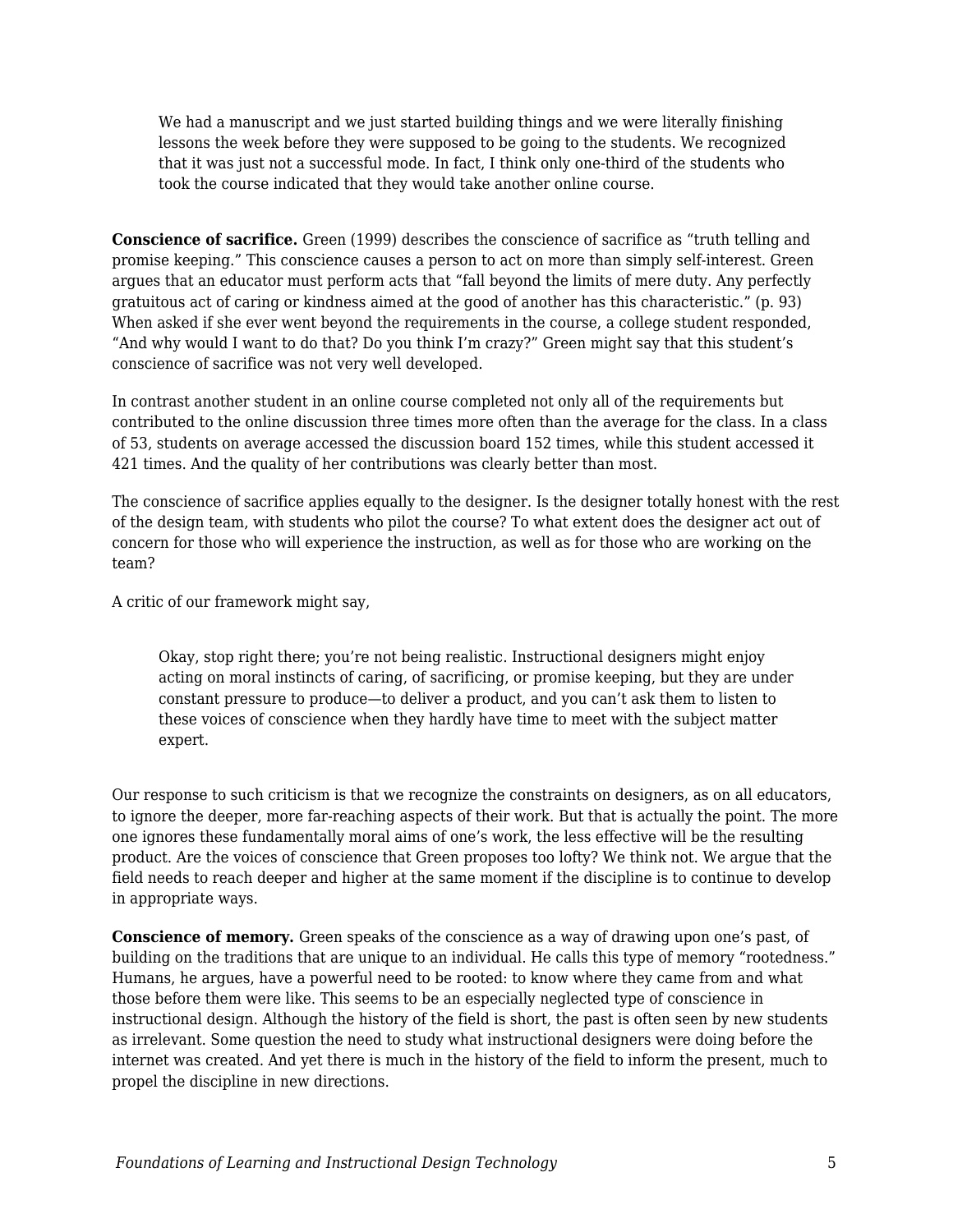We had a manuscript and we just started building things and we were literally finishing lessons the week before they were supposed to be going to the students. We recognized that it was just not a successful mode. In fact, I think only one-third of the students who took the course indicated that they would take another online course.

**Conscience of sacrifice.** Green (1999) describes the conscience of sacrifice as "truth telling and promise keeping." This conscience causes a person to act on more than simply self-interest. Green argues that an educator must perform acts that "fall beyond the limits of mere duty. Any perfectly gratuitous act of caring or kindness aimed at the good of another has this characteristic." (p. 93) When asked if she ever went beyond the requirements in the course, a college student responded, "And why would I want to do that? Do you think I'm crazy?" Green might say that this student's conscience of sacrifice was not very well developed.

In contrast another student in an online course completed not only all of the requirements but contributed to the online discussion three times more often than the average for the class. In a class of 53, students on average accessed the discussion board 152 times, while this student accessed it 421 times. And the quality of her contributions was clearly better than most.

The conscience of sacrifice applies equally to the designer. Is the designer totally honest with the rest of the design team, with students who pilot the course? To what extent does the designer act out of concern for those who will experience the instruction, as well as for those who are working on the team?

A critic of our framework might say,

Okay, stop right there; you're not being realistic. Instructional designers might enjoy acting on moral instincts of caring, of sacrificing, or promise keeping, but they are under constant pressure to produce—to deliver a product, and you can't ask them to listen to these voices of conscience when they hardly have time to meet with the subject matter expert.

Our response to such criticism is that we recognize the constraints on designers, as on all educators, to ignore the deeper, more far-reaching aspects of their work. But that is actually the point. The more one ignores these fundamentally moral aims of one's work, the less effective will be the resulting product. Are the voices of conscience that Green proposes too lofty? We think not. We argue that the field needs to reach deeper and higher at the same moment if the discipline is to continue to develop in appropriate ways.

**Conscience of memory.** Green speaks of the conscience as a way of drawing upon one's past, of building on the traditions that are unique to an individual. He calls this type of memory "rootedness." Humans, he argues, have a powerful need to be rooted: to know where they came from and what those before them were like. This seems to be an especially neglected type of conscience in instructional design. Although the history of the field is short, the past is often seen by new students as irrelevant. Some question the need to study what instructional designers were doing before the internet was created. And yet there is much in the history of the field to inform the present, much to propel the discipline in new directions.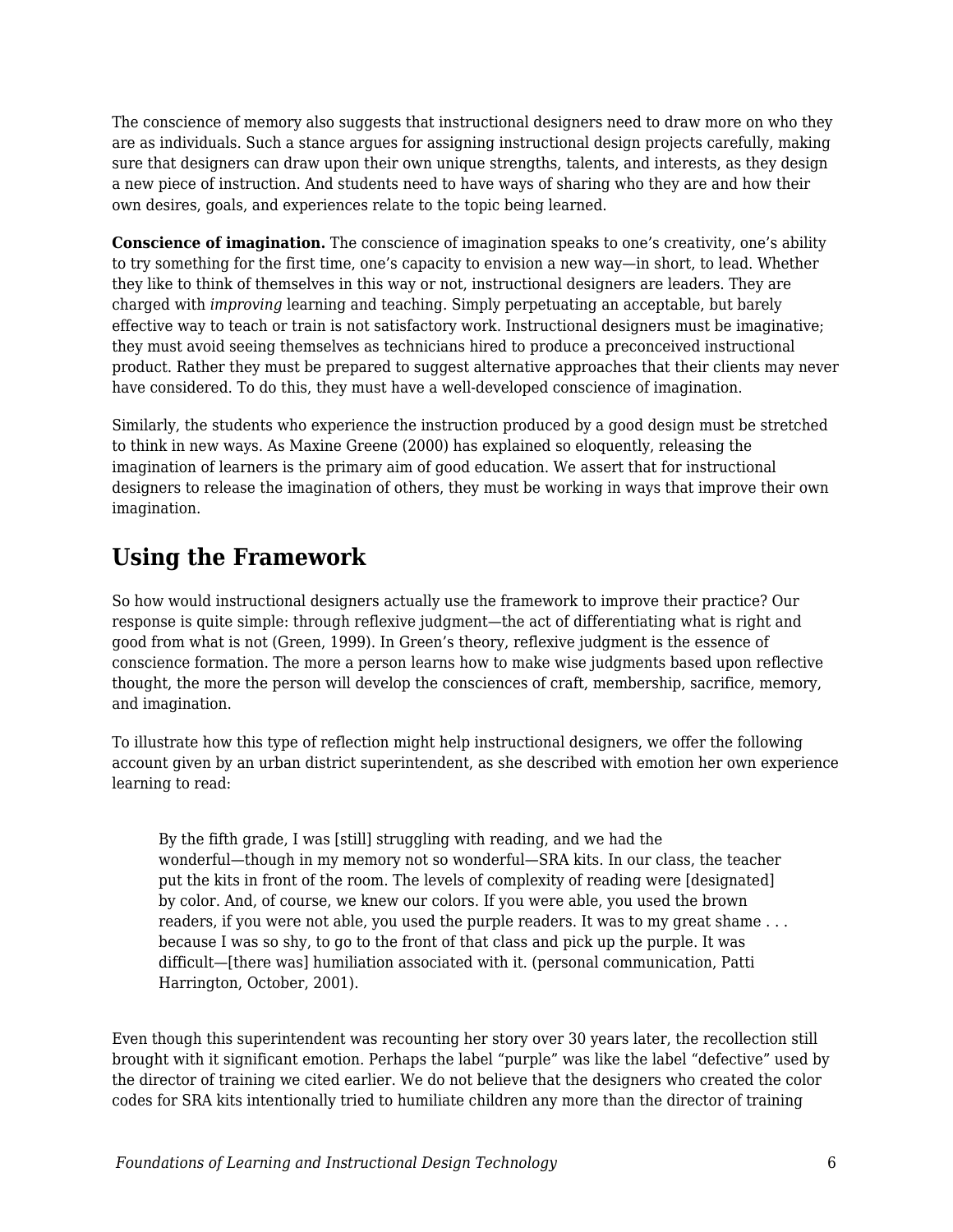The conscience of memory also suggests that instructional designers need to draw more on who they are as individuals. Such a stance argues for assigning instructional design projects carefully, making sure that designers can draw upon their own unique strengths, talents, and interests, as they design a new piece of instruction. And students need to have ways of sharing who they are and how their own desires, goals, and experiences relate to the topic being learned.

**Conscience of imagination.** The conscience of imagination speaks to one's creativity, one's ability to try something for the first time, one's capacity to envision a new way—in short, to lead. Whether they like to think of themselves in this way or not, instructional designers are leaders. They are charged with *improving* learning and teaching. Simply perpetuating an acceptable, but barely effective way to teach or train is not satisfactory work. Instructional designers must be imaginative; they must avoid seeing themselves as technicians hired to produce a preconceived instructional product. Rather they must be prepared to suggest alternative approaches that their clients may never have considered. To do this, they must have a well-developed conscience of imagination.

Similarly, the students who experience the instruction produced by a good design must be stretched to think in new ways. As Maxine Greene (2000) has explained so eloquently, releasing the imagination of learners is the primary aim of good education. We assert that for instructional designers to release the imagination of others, they must be working in ways that improve their own imagination.

# **Using the Framework**

So how would instructional designers actually use the framework to improve their practice? Our response is quite simple: through reflexive judgment—the act of differentiating what is right and good from what is not (Green, 1999). In Green's theory, reflexive judgment is the essence of conscience formation. The more a person learns how to make wise judgments based upon reflective thought, the more the person will develop the consciences of craft, membership, sacrifice, memory, and imagination.

To illustrate how this type of reflection might help instructional designers, we offer the following account given by an urban district superintendent, as she described with emotion her own experience learning to read:

By the fifth grade, I was [still] struggling with reading, and we had the wonderful—though in my memory not so wonderful—SRA kits. In our class, the teacher put the kits in front of the room. The levels of complexity of reading were [designated] by color. And, of course, we knew our colors. If you were able, you used the brown readers, if you were not able, you used the purple readers. It was to my great shame . . . because I was so shy, to go to the front of that class and pick up the purple. It was difficult—[there was] humiliation associated with it. (personal communication, Patti Harrington, October, 2001).

Even though this superintendent was recounting her story over 30 years later, the recollection still brought with it significant emotion. Perhaps the label "purple" was like the label "defective" used by the director of training we cited earlier. We do not believe that the designers who created the color codes for SRA kits intentionally tried to humiliate children any more than the director of training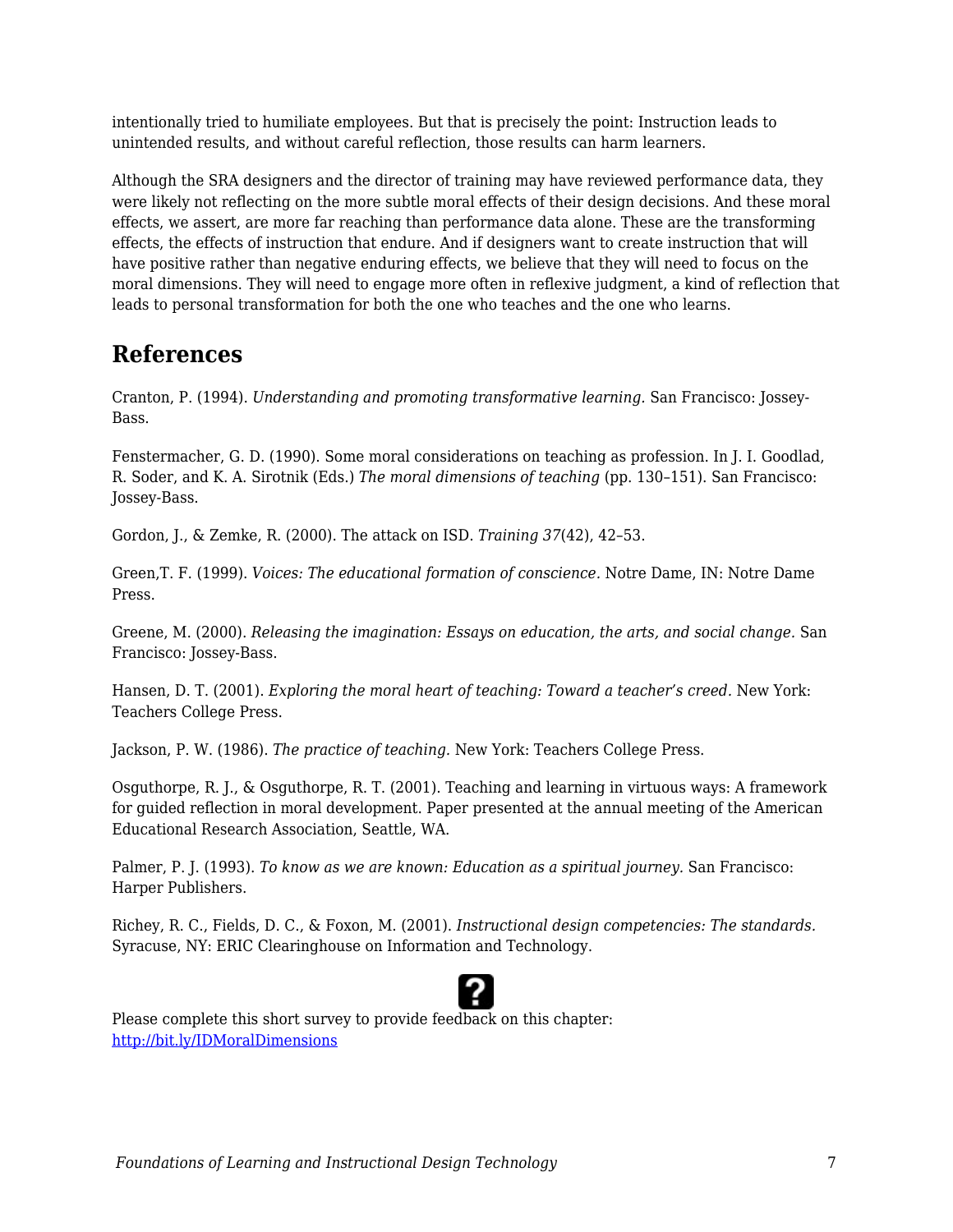intentionally tried to humiliate employees. But that is precisely the point: Instruction leads to unintended results, and without careful reflection, those results can harm learners.

Although the SRA designers and the director of training may have reviewed performance data, they were likely not reflecting on the more subtle moral effects of their design decisions. And these moral effects, we assert, are more far reaching than performance data alone. These are the transforming effects, the effects of instruction that endure. And if designers want to create instruction that will have positive rather than negative enduring effects, we believe that they will need to focus on the moral dimensions. They will need to engage more often in reflexive judgment, a kind of reflection that leads to personal transformation for both the one who teaches and the one who learns.

### **References**

Cranton, P. (1994). *Understanding and promoting transformative learning.* San Francisco: Jossey-Bass.

Fenstermacher, G. D. (1990). Some moral considerations on teaching as profession. In J. I. Goodlad, R. Soder, and K. A. Sirotnik (Eds.) *The moral dimensions of teaching* (pp. 130–151). San Francisco: Jossey-Bass.

Gordon, J., & Zemke, R. (2000). The attack on ISD. *Training 37*(42), 42–53.

Green,T. F. (1999). *Voices: The educational formation of conscience.* Notre Dame, IN: Notre Dame Press.

Greene, M. (2000). *Releasing the imagination: Essays on education, the arts, and social change.* San Francisco: Jossey-Bass.

Hansen, D. T. (2001). *Exploring the moral heart of teaching: Toward a teacher's creed.* New York: Teachers College Press.

Jackson, P. W. (1986). *The practice of teaching.* New York: Teachers College Press.

Osguthorpe, R. J., & Osguthorpe, R. T. (2001). Teaching and learning in virtuous ways: A framework for guided reflection in moral development. Paper presented at the annual meeting of the American Educational Research Association, Seattle, WA.

Palmer, P. J. (1993). *To know as we are known: Education as a spiritual journey.* San Francisco: Harper Publishers.

Richey, R. C., Fields, D. C., & Foxon, M. (2001). *Instructional design competencies: The standards.* Syracuse, NY: ERIC Clearinghouse on Information and Technology.



Please complete this short survey to provide feedback on this chapter: <http://bit.ly/IDMoralDimensions>